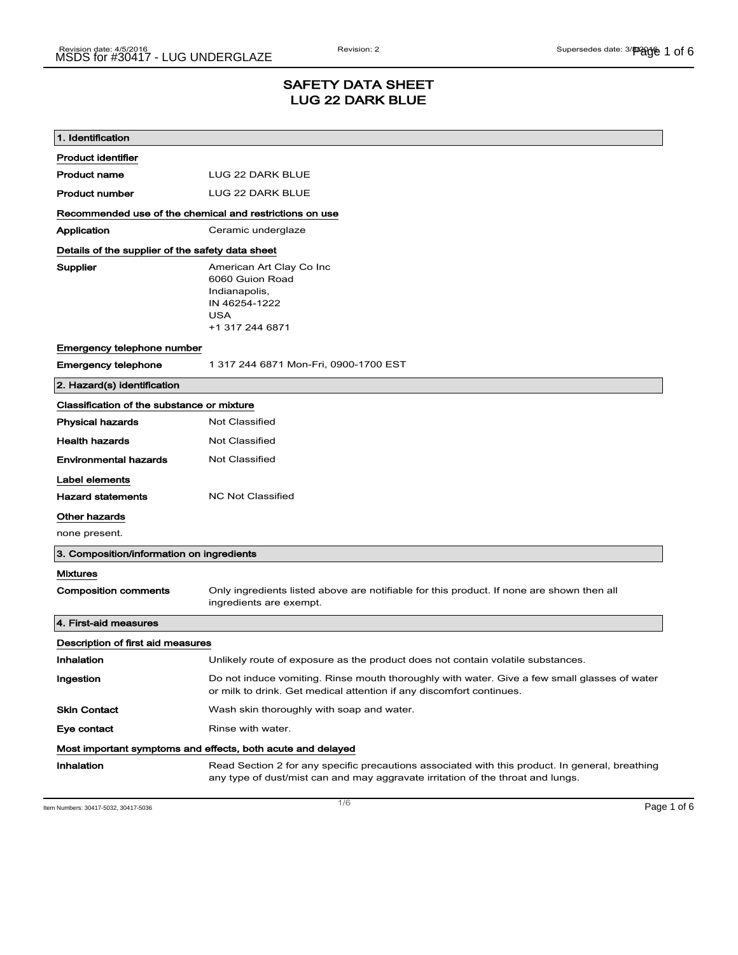## SAFETY DATA SHEET LUG 22 DARK BLUE

| 1. Identification                                           |                                                                                                                                                                                    |  |
|-------------------------------------------------------------|------------------------------------------------------------------------------------------------------------------------------------------------------------------------------------|--|
| <b>Product identifier</b>                                   |                                                                                                                                                                                    |  |
| <b>Product name</b>                                         | LUG 22 DARK BLUE                                                                                                                                                                   |  |
| <b>Product number</b>                                       | LUG 22 DARK BLUE                                                                                                                                                                   |  |
| Recommended use of the chemical and restrictions on use     |                                                                                                                                                                                    |  |
| Application                                                 | Ceramic underglaze                                                                                                                                                                 |  |
| Details of the supplier of the safety data sheet            |                                                                                                                                                                                    |  |
| Supplier                                                    | American Art Clay Co Inc<br>6060 Guion Road<br>Indianapolis,<br>IN 46254-1222<br><b>USA</b><br>+1 317 244 6871                                                                     |  |
| Emergency telephone number                                  |                                                                                                                                                                                    |  |
| <b>Emergency telephone</b>                                  | 1 317 244 6871 Mon-Fri, 0900-1700 EST                                                                                                                                              |  |
| 2. Hazard(s) identification                                 |                                                                                                                                                                                    |  |
| Classification of the substance or mixture                  |                                                                                                                                                                                    |  |
| <b>Physical hazards</b>                                     | Not Classified                                                                                                                                                                     |  |
| <b>Health hazards</b>                                       | <b>Not Classified</b>                                                                                                                                                              |  |
| <b>Environmental hazards</b>                                | <b>Not Classified</b>                                                                                                                                                              |  |
| Label elements                                              |                                                                                                                                                                                    |  |
| <b>Hazard statements</b>                                    | <b>NC Not Classified</b>                                                                                                                                                           |  |
| Other hazards                                               |                                                                                                                                                                                    |  |
| none present.                                               |                                                                                                                                                                                    |  |
| 3. Composition/information on ingredients                   |                                                                                                                                                                                    |  |
| <b>Mixtures</b>                                             |                                                                                                                                                                                    |  |
| <b>Composition comments</b>                                 | Only ingredients listed above are notifiable for this product. If none are shown then all<br>ingredients are exempt.                                                               |  |
| 4. First-aid measures                                       |                                                                                                                                                                                    |  |
| Description of first aid measures                           |                                                                                                                                                                                    |  |
| Inhalation                                                  | Unlikely route of exposure as the product does not contain volatile substances.                                                                                                    |  |
| Ingestion                                                   | Do not induce vomiting. Rinse mouth thoroughly with water. Give a few small glasses of water<br>or milk to drink. Get medical attention if any discomfort continues.               |  |
| <b>Skin Contact</b>                                         | Wash skin thoroughly with soap and water.                                                                                                                                          |  |
| Eye contact                                                 | Rinse with water.                                                                                                                                                                  |  |
| Most important symptoms and effects, both acute and delayed |                                                                                                                                                                                    |  |
| Inhalation                                                  | Read Section 2 for any specific precautions associated with this product. In general, breathing<br>any type of dust/mist can and may aggravate irritation of the throat and lungs. |  |

Item Numbers: 30417-5032, 30417-5036  $\blacksquare$   $\blacksquare$   $\blacksquare$   $\blacksquare$   $\blacksquare$   $\blacksquare$   $\blacksquare$   $\blacksquare$   $\blacksquare$   $\blacksquare$   $\blacksquare$   $\blacksquare$   $\blacksquare$   $\blacksquare$   $\blacksquare$   $\blacksquare$   $\blacksquare$   $\blacksquare$   $\blacksquare$   $\blacksquare$   $\blacksquare$   $\blacksquare$   $\blacksquare$   $\blacksquare$   $\blacksquare$   $\blacksquare$   $\$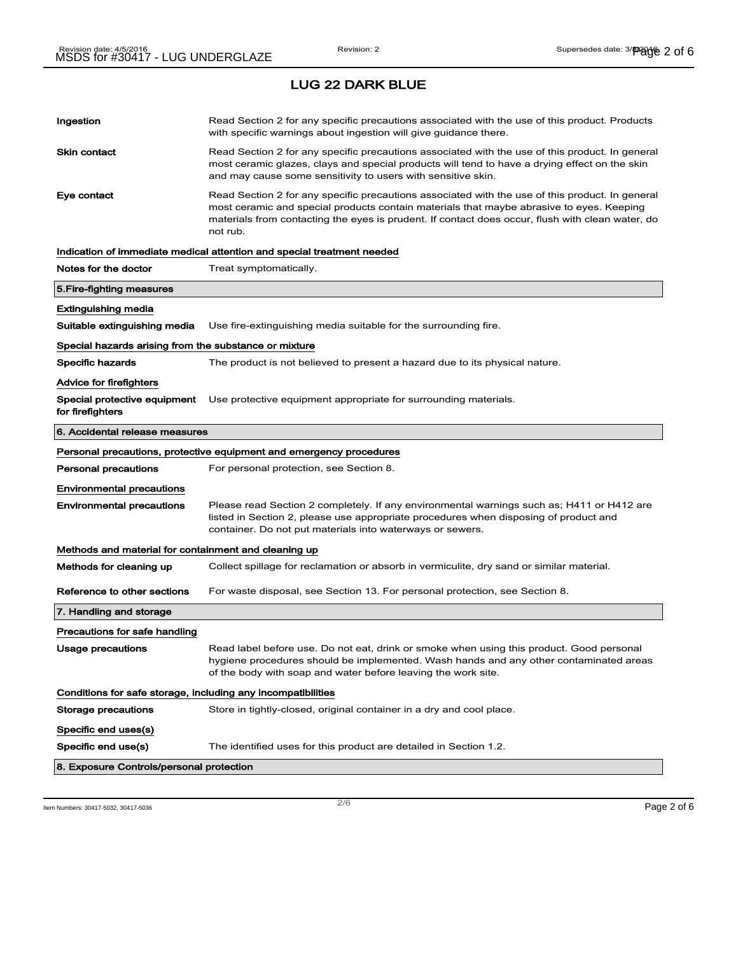| Ingestion                                                    | Read Section 2 for any specific precautions associated with the use of this product. Products<br>with specific warnings about ingestion will give guidance there.                                                                                                                                           |
|--------------------------------------------------------------|-------------------------------------------------------------------------------------------------------------------------------------------------------------------------------------------------------------------------------------------------------------------------------------------------------------|
| Skin contact                                                 | Read Section 2 for any specific precautions associated with the use of this product. In general<br>most ceramic glazes, clays and special products will tend to have a drying effect on the skin<br>and may cause some sensitivity to users with sensitive skin.                                            |
| Eye contact                                                  | Read Section 2 for any specific precautions associated with the use of this product. In general<br>most ceramic and special products contain materials that maybe abrasive to eyes. Keeping<br>materials from contacting the eyes is prudent. If contact does occur, flush with clean water, do<br>not rub. |
|                                                              | Indication of immediate medical attention and special treatment needed                                                                                                                                                                                                                                      |
| Notes for the doctor                                         | Treat symptomatically.                                                                                                                                                                                                                                                                                      |
| 5. Fire-fighting measures                                    |                                                                                                                                                                                                                                                                                                             |
| Extinguishing media                                          |                                                                                                                                                                                                                                                                                                             |
| Suitable extinguishing media                                 | Use fire-extinguishing media suitable for the surrounding fire.                                                                                                                                                                                                                                             |
| Special hazards arising from the substance or mixture        |                                                                                                                                                                                                                                                                                                             |
| Specific hazards                                             | The product is not believed to present a hazard due to its physical nature.                                                                                                                                                                                                                                 |
| Advice for firefighters                                      |                                                                                                                                                                                                                                                                                                             |
| Special protective equipment<br>for firefighters             | Use protective equipment appropriate for surrounding materials.                                                                                                                                                                                                                                             |
| 6. Accidental release measures                               |                                                                                                                                                                                                                                                                                                             |
|                                                              | Personal precautions, protective equipment and emergency procedures                                                                                                                                                                                                                                         |
| Personal precautions                                         | For personal protection, see Section 8.                                                                                                                                                                                                                                                                     |
| <b>Environmental precautions</b>                             |                                                                                                                                                                                                                                                                                                             |
| <b>Environmental precautions</b>                             | Please read Section 2 completely. If any environmental warnings such as; H411 or H412 are<br>listed in Section 2, please use appropriate procedures when disposing of product and<br>container. Do not put materials into waterways or sewers.                                                              |
| Methods and material for containment and cleaning up         |                                                                                                                                                                                                                                                                                                             |
| Methods for cleaning up                                      | Collect spillage for reclamation or absorb in vermiculite, dry sand or similar material.                                                                                                                                                                                                                    |
| Reference to other sections                                  | For waste disposal, see Section 13. For personal protection, see Section 8.                                                                                                                                                                                                                                 |
| 7. Handling and storage                                      |                                                                                                                                                                                                                                                                                                             |
| Precautions for safe handling                                |                                                                                                                                                                                                                                                                                                             |
| <b>Usage precautions</b>                                     | Read label before use. Do not eat, drink or smoke when using this product. Good personal<br>hygiene procedures should be implemented. Wash hands and any other contaminated areas<br>of the body with soap and water before leaving the work site.                                                          |
| Conditions for safe storage, including any incompatibilities |                                                                                                                                                                                                                                                                                                             |
| Storage precautions                                          | Store in tightly-closed, original container in a dry and cool place.                                                                                                                                                                                                                                        |
| Specific end uses(s)                                         |                                                                                                                                                                                                                                                                                                             |
| Specific end use(s)                                          | The identified uses for this product are detailed in Section 1.2.                                                                                                                                                                                                                                           |
| 8. Exposure Controls/personal protection                     |                                                                                                                                                                                                                                                                                                             |

Item Numbers: 30417-5032, 30417-5036 Page 2 of 6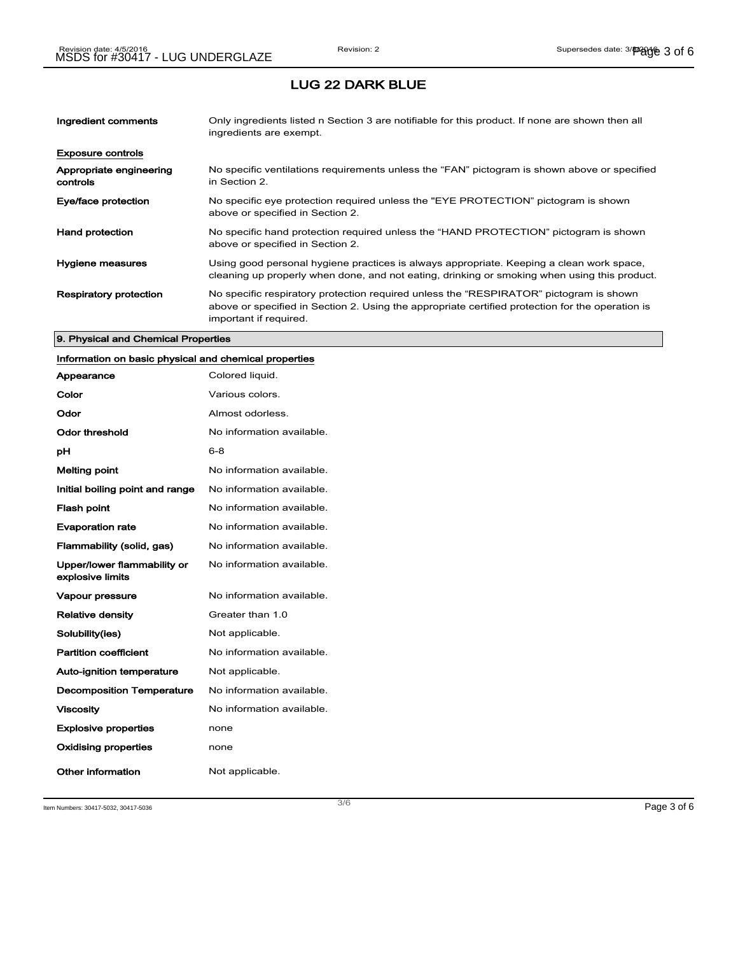| Ingredient comments                 | Only ingredients listed n Section 3 are notifiable for this product. If none are shown then all<br>ingredients are exempt.                                                                                           |
|-------------------------------------|----------------------------------------------------------------------------------------------------------------------------------------------------------------------------------------------------------------------|
| <b>Exposure controls</b>            |                                                                                                                                                                                                                      |
| Appropriate engineering<br>controls | No specific ventilations requirements unless the "FAN" pictogram is shown above or specified<br>in Section 2.                                                                                                        |
| Eye/face protection                 | No specific eye protection required unless the "EYE PROTECTION" pictogram is shown<br>above or specified in Section 2.                                                                                               |
| <b>Hand protection</b>              | No specific hand protection required unless the "HAND PROTECTION" pictogram is shown<br>above or specified in Section 2.                                                                                             |
| Hygiene measures                    | Using good personal hygiene practices is always appropriate. Keeping a clean work space,<br>cleaning up properly when done, and not eating, drinking or smoking when using this product.                             |
| <b>Respiratory protection</b>       | No specific respiratory protection required unless the "RESPIRATOR" pictogram is shown<br>above or specified in Section 2. Using the appropriate certified protection for the operation is<br>important if required. |

#### 9. Physical and Chemical Properties

## Information on basic physical and chemical properties

| Appearance                                      | Colored liquid.           |
|-------------------------------------------------|---------------------------|
| Color                                           | Various colors.           |
| Odor                                            | Almost odorless.          |
| Odor threshold                                  | No information available. |
| рH                                              | 6-8                       |
| <b>Melting point</b>                            | No information available. |
| Initial boiling point and range                 | No information available. |
| <b>Flash point</b>                              | No information available. |
| <b>Evaporation rate</b>                         | No information available. |
| Flammability (solid, gas)                       | No information available. |
| Upper/lower flammability or<br>explosive limits | No information available. |
| <b>Vapour pressure</b>                          | No information available. |
| <b>Relative density</b>                         | Greater than 1.0          |
| Solubility(ies)                                 | Not applicable.           |
| <b>Partition coefficient</b>                    | No information available. |
| <b>Auto-ignition temperature</b>                | Not applicable.           |
| <b>Decomposition Temperature</b>                | No information available. |
| <b>Viscosity</b>                                | No information available. |
| <b>Explosive properties</b>                     | none                      |
| <b>Oxidising properties</b>                     | none                      |
| Other information                               | Not applicable.           |

Item Numbers: 30417-5032, 30417-5036 Page 3 of 6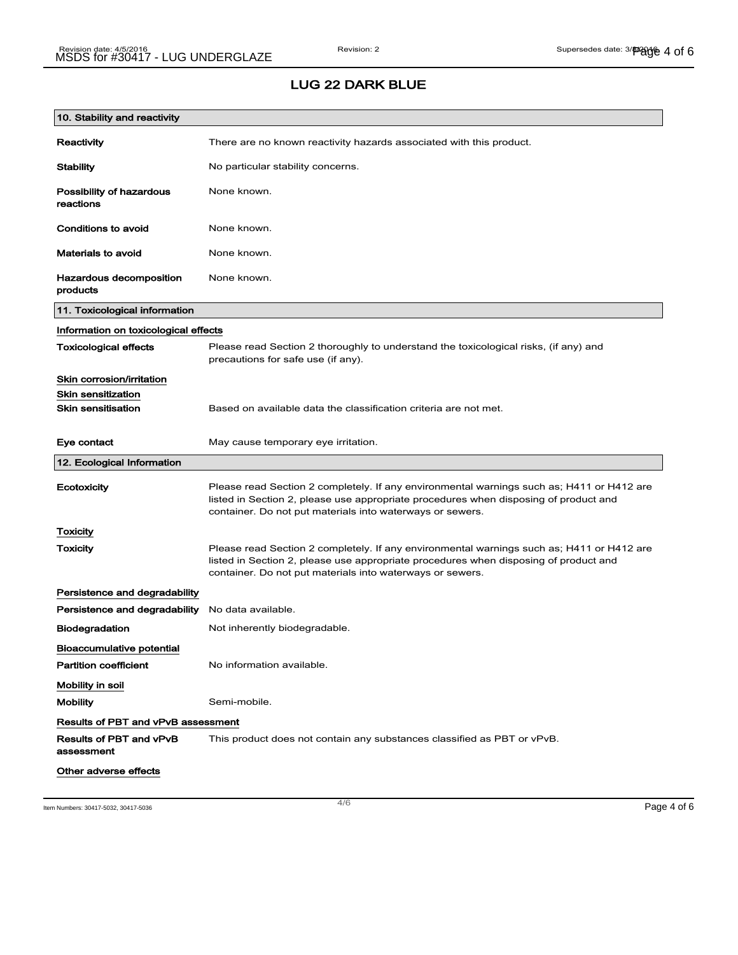# LUG 22 DARK BLUE

| 10. Stability and reactivity              |                                                                                                                                                                                                                                                |
|-------------------------------------------|------------------------------------------------------------------------------------------------------------------------------------------------------------------------------------------------------------------------------------------------|
| Reactivity                                | There are no known reactivity hazards associated with this product.                                                                                                                                                                            |
| <b>Stability</b>                          | No particular stability concerns.                                                                                                                                                                                                              |
| Possibility of hazardous<br>reactions     | None known.                                                                                                                                                                                                                                    |
| Conditions to avoid                       | None known.                                                                                                                                                                                                                                    |
| <b>Materials to avoid</b>                 | None known.                                                                                                                                                                                                                                    |
| Hazardous decomposition<br>products       | None known.                                                                                                                                                                                                                                    |
| 11. Toxicological information             |                                                                                                                                                                                                                                                |
| Information on toxicological effects      |                                                                                                                                                                                                                                                |
| <b>Toxicological effects</b>              | Please read Section 2 thoroughly to understand the toxicological risks, (if any) and<br>precautions for safe use (if any).                                                                                                                     |
| Skin corrosion/irritation                 |                                                                                                                                                                                                                                                |
| <b>Skin sensitization</b>                 |                                                                                                                                                                                                                                                |
| <b>Skin sensitisation</b>                 | Based on available data the classification criteria are not met.                                                                                                                                                                               |
| Eye contact                               | May cause temporary eye irritation.                                                                                                                                                                                                            |
| 12. Ecological Information                |                                                                                                                                                                                                                                                |
| Ecotoxicity                               | Please read Section 2 completely. If any environmental warnings such as; H411 or H412 are<br>listed in Section 2, please use appropriate procedures when disposing of product and<br>container. Do not put materials into waterways or sewers. |
| <b>Toxicity</b>                           |                                                                                                                                                                                                                                                |
| Toxicity                                  | Please read Section 2 completely. If any environmental warnings such as; H411 or H412 are<br>listed in Section 2, please use appropriate procedures when disposing of product and<br>container. Do not put materials into waterways or sewers. |
| Persistence and degradability             |                                                                                                                                                                                                                                                |
| Persistence and degradability             | No data available.                                                                                                                                                                                                                             |
| <b>Biodegradation</b>                     | Not inherently biodegradable.                                                                                                                                                                                                                  |
| <b>Bioaccumulative potential</b>          |                                                                                                                                                                                                                                                |
| <b>Partition coefficient</b>              | No information available.                                                                                                                                                                                                                      |
| Mobility in soil                          |                                                                                                                                                                                                                                                |
| <b>Mobility</b>                           | Semi-mobile.                                                                                                                                                                                                                                   |
| <b>Results of PBT and vPvB assessment</b> |                                                                                                                                                                                                                                                |
| Results of PBT and vPvB<br>assessment     | This product does not contain any substances classified as PBT or vPvB.                                                                                                                                                                        |
| Other adverse effects                     |                                                                                                                                                                                                                                                |

Item Numbers: 30417-5032, 30417-5036  $\overline{4/6}$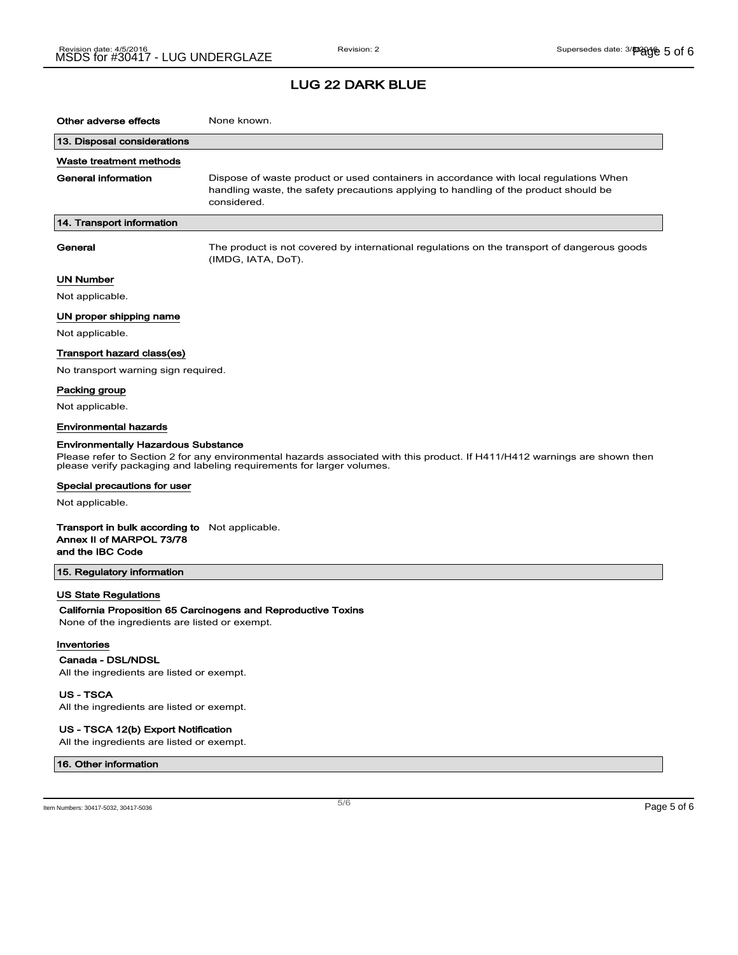| Other adverse effects                                                                                                                                                                                                                             | None known.                                                                                                                                                                                  |  |
|---------------------------------------------------------------------------------------------------------------------------------------------------------------------------------------------------------------------------------------------------|----------------------------------------------------------------------------------------------------------------------------------------------------------------------------------------------|--|
| 13. Disposal considerations                                                                                                                                                                                                                       |                                                                                                                                                                                              |  |
| Waste treatment methods                                                                                                                                                                                                                           |                                                                                                                                                                                              |  |
| <b>General information</b>                                                                                                                                                                                                                        | Dispose of waste product or used containers in accordance with local regulations When<br>handling waste, the safety precautions applying to handling of the product should be<br>considered. |  |
| 14. Transport information                                                                                                                                                                                                                         |                                                                                                                                                                                              |  |
| General                                                                                                                                                                                                                                           | The product is not covered by international regulations on the transport of dangerous goods<br>(IMDG, IATA, DoT).                                                                            |  |
| UN Number                                                                                                                                                                                                                                         |                                                                                                                                                                                              |  |
| Not applicable.                                                                                                                                                                                                                                   |                                                                                                                                                                                              |  |
| UN proper shipping name                                                                                                                                                                                                                           |                                                                                                                                                                                              |  |
| Not applicable.                                                                                                                                                                                                                                   |                                                                                                                                                                                              |  |
| Transport hazard class(es)                                                                                                                                                                                                                        |                                                                                                                                                                                              |  |
| No transport warning sign required.                                                                                                                                                                                                               |                                                                                                                                                                                              |  |
| Packing group                                                                                                                                                                                                                                     |                                                                                                                                                                                              |  |
| Not applicable.                                                                                                                                                                                                                                   |                                                                                                                                                                                              |  |
| Environmental hazards                                                                                                                                                                                                                             |                                                                                                                                                                                              |  |
| <b>Environmentally Hazardous Substance</b><br>Please refer to Section 2 for any environmental hazards associated with this product. If H411/H412 warnings are shown then<br>please verify packaging and labeling requirements for larger volumes. |                                                                                                                                                                                              |  |
| Special precautions for user                                                                                                                                                                                                                      |                                                                                                                                                                                              |  |
| Not applicable.                                                                                                                                                                                                                                   |                                                                                                                                                                                              |  |
| <b>Transport in bulk according to</b> Not applicable.<br>Annex II of MARPOL 73/78<br>and the IBC Code                                                                                                                                             |                                                                                                                                                                                              |  |
| 15. Regulatory information                                                                                                                                                                                                                        |                                                                                                                                                                                              |  |
| <b>US State Regulations</b><br>None of the ingredients are listed or exempt.                                                                                                                                                                      | California Proposition 65 Carcinogens and Reproductive Toxins                                                                                                                                |  |
| Inventories                                                                                                                                                                                                                                       |                                                                                                                                                                                              |  |
| Canada - DSL/NDSL<br>All the ingredients are listed or exempt.                                                                                                                                                                                    |                                                                                                                                                                                              |  |
| <b>US-TSCA</b><br>All the ingredients are listed or exempt.                                                                                                                                                                                       |                                                                                                                                                                                              |  |

US - TSCA 12(b) Export Notification

All the ingredients are listed or exempt.

#### 16. Other information